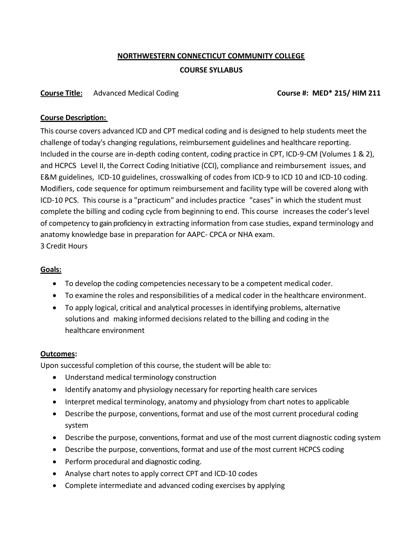## **NORTHWESTERN CONNECTICUT COMMUNITY COLLEGE**

### **COURSE SYLLABUS**

## **Course Title:** Advanced Medical Coding **Course #: MED\* 215/ HIM 211**

#### **Course Description:**

This course covers advanced ICD and CPT medical coding and is designed to help students meet the challenge of today's changing regulations, reimbursement guidelines and healthcare reporting. Included in the course are in-depth coding content, coding practice in CPT, ICD-9-CM (Volumes 1 & 2), and HCPCS Level II, the Correct Coding Initiative (CCI), compliance and reimbursement issues, and E&M guidelines, ICD-10 guidelines, crosswalking of codes from ICD-9 to ICD 10 and ICD-10 coding. Modifiers, code sequence for optimum reimbursement and facility type will be covered along with ICD-10 PCS. This course is a "practicum" and includes practice "cases" in which the student must complete the billing and coding cycle from beginning to end. This course increases the coder's level of competency to gain proficiency in extracting information from case studies, expand terminology and anatomy knowledge base in preparation for AAPC- CPCA or NHA exam. 3 Credit Hours

## **Goals:**

- To develop the coding competencies necessary to be a competent medical coder.
- To examine the roles and responsibilities of a medical coder in the healthcare environment.
- To apply logical, critical and analytical processes in identifying problems, alternative solutions and making informed decisions related to the billing and coding in the healthcare environment

#### **Outcomes:**

Upon successful completion of this course, the student will be able to:

- Understand medical terminology construction
- Identify anatomy and physiology necessary for reporting health care services
- Interpret medical terminology, anatomy and physiology from chart notesto applicable
- Describe the purpose, conventions, format and use of the most current procedural coding system
- Describe the purpose, conventions, format and use of the most current diagnostic coding system
- Describe the purpose, conventions, format and use of the most current HCPCS coding
- Perform procedural and diagnostic coding.
- Analyse chart notes to apply correct CPT and ICD-10 codes
- Complete intermediate and advanced coding exercises by applying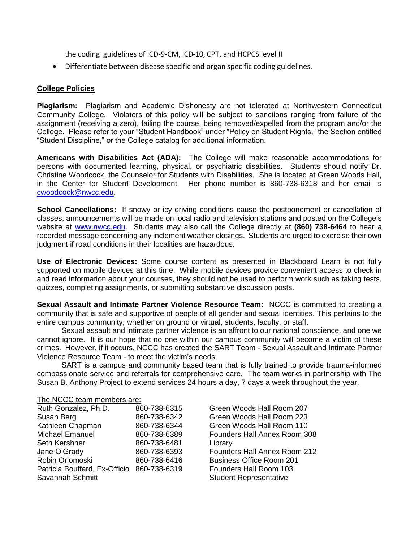the coding guidelines of ICD-9-CM, ICD-10, CPT, and HCPCS level II

Differentiate between disease specific and organ specific coding guidelines.

#### **College Policies**

**Plagiarism:** Plagiarism and Academic Dishonesty are not tolerated at Northwestern Connecticut Community College. Violators of this policy will be subject to sanctions ranging from failure of the assignment (receiving a zero), failing the course, being removed/expelled from the program and/or the College. Please refer to your "Student Handbook" under "Policy on Student Rights," the Section entitled "Student Discipline," or the College catalog for additional information.

**Americans with Disabilities Act (ADA):** The College will make reasonable accommodations for persons with documented learning, physical, or psychiatric disabilities. Students should notify Dr. Christine Woodcock, the Counselor for Students with Disabilities. She is located at Green Woods Hall, in the Center for Student Development. Her phone number is 860-738-6318 and her email is [cwoodcock@nwcc.edu.](mailto:cwoodcock@nwcc.edu)

**School Cancellations:** If snowy or icy driving conditions cause the postponement or cancellation of classes, announcements will be made on local radio and television stations and posted on the College's website at [www.nwcc.edu.](http://www.nwcc.edu/) Students may also call the College directly at **(860) 738-6464** to hear a recorded message concerning any inclement weather closings. Students are urged to exercise their own judgment if road conditions in their localities are hazardous.

**Use of Electronic Devices:** Some course content as presented in Blackboard Learn is not fully supported on mobile devices at this time. While mobile devices provide convenient access to check in and read information about your courses, they should not be used to perform work such as taking tests, quizzes, completing assignments, or submitting substantive discussion posts.

**Sexual Assault and Intimate Partner Violence Resource Team:** NCCC is committed to creating a community that is safe and supportive of people of all gender and sexual identities. This pertains to the entire campus community, whether on ground or virtual, students, faculty, or staff.

Sexual assault and intimate partner violence is an affront to our national conscience, and one we cannot ignore. It is our hope that no one within our campus community will become a victim of these crimes. However, if it occurs, NCCC has created the SART Team - Sexual Assault and Intimate Partner Violence Resource Team - to meet the victim's needs.

SART is a campus and community based team that is fully trained to provide trauma-informed compassionate service and referrals for comprehensive care. The team works in partnership with The Susan B. Anthony Project to extend services 24 hours a day, 7 days a week throughout the year.

# The NCCC team members are:<br>Buth Conzelez, Bb D. (860, 738, 6315)

| RUIN GONZAIEZ, PN.D.                       | 800-738-0315 |
|--------------------------------------------|--------------|
| Susan Berg                                 | 860-738-6342 |
| Kathleen Chapman                           | 860-738-6344 |
| <b>Michael Emanuel</b>                     | 860-738-6389 |
| Seth Kershner                              | 860-738-6481 |
| Jane O'Grady                               | 860-738-6393 |
| Robin Orlomoski                            | 860-738-6416 |
| Patricia Bouffard, Ex-Officio 860-738-6319 |              |
| Savannah Schmitt                           |              |
|                                            |              |

Green Woods Hall Room 207 Green Woods Hall Room 223 Green Woods Hall Room 110 Founders Hall Annex Room 308 Library Founders Hall Annex Room 212 **Business Office Room 201 Founders Hall Room 103** Student Representative